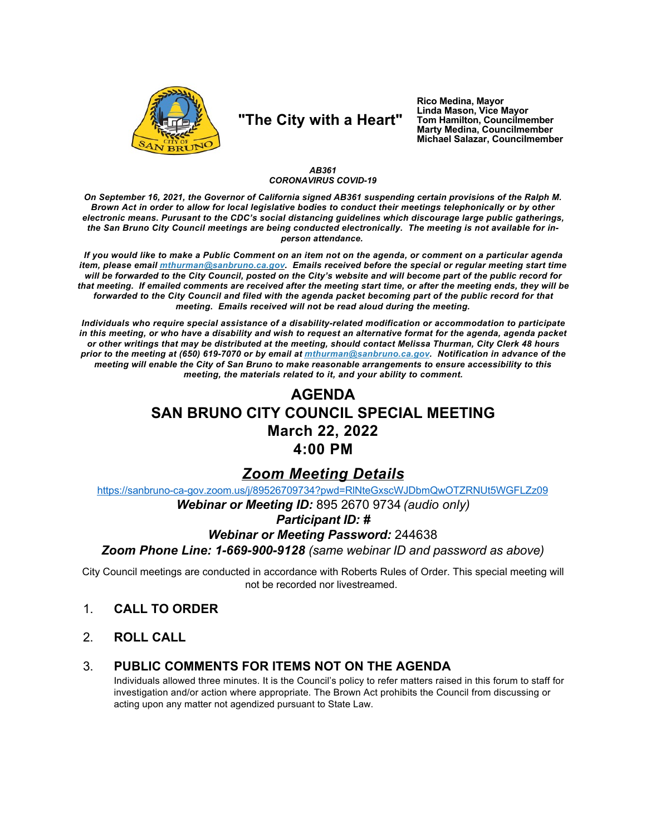

# "The City with a Heart"

Rico Medina, Mayor Linda Mason, Vice Mayor Tom Hamilton, Councilmember **Marty Medina, Councilmember** Michael Salazar, Councilmember

#### AB361 **CORONAVIRUS COVID-19**

On September 16, 2021, the Governor of California signed AB361 suspending certain provisions of the Ralph M. Brown Act in order to allow for local legislative bodies to conduct their meetings telephonically or by other electronic means. Purusant to the CDC's social distancing guidelines which discourage large public gatherings, the San Bruno City Council meetings are being conducted electronically. The meeting is not available for inperson attendance.

If you would like to make a Public Comment on an item not on the agenda, or comment on a particular agenda item, please email *mthurman@sanbruno.ca.gov.* Emails received before the special or regular meeting start time will be forwarded to the City Council, posted on the City's website and will become part of the public record for that meeting. If emailed comments are received after the meeting start time, or after the meeting ends, they will be forwarded to the City Council and filed with the agenda packet becoming part of the public record for that meeting. Emails received will not be read aloud during the meeting.

Individuals who require special assistance of a disability-related modification or accommodation to participate in this meeting, or who have a disability and wish to request an alternative format for the agenda, agenda packet or other writings that may be distributed at the meeting, should contact Melissa Thurman, City Clerk 48 hours prior to the meeting at (650) 619-7070 or by email at mthurman@sanbruno.ca.gov. Notification in advance of the meeting will enable the City of San Bruno to make reasonable arrangements to ensure accessibility to this meeting, the materials related to it, and your ability to comment.

# **AGENDA SAN BRUNO CITY COUNCIL SPECIAL MEETING March 22, 2022** 4:00 PM

## **Zoom Meeting Details**

https://sanbruno-ca-gov.zoom.us/j/89526709734?pwd=RINteGxscWJDbmQwOTZRNUt5WGFLZz09

Webinar or Meeting ID: 895 2670 9734 (audio only)

### **Participant ID: #**

### **Webinar or Meeting Password: 244638**

Zoom Phone Line: 1-669-900-9128 (same webinar ID and password as above)

City Council meetings are conducted in accordance with Roberts Rules of Order. This special meeting will not be recorded nor livestreamed.

- $1<sub>1</sub>$ **CALL TO ORDER**
- $2<sub>1</sub>$ **ROLL CALL**

#### PUBLIC COMMENTS FOR ITEMS NOT ON THE AGENDA 3.

Individuals allowed three minutes. It is the Council's policy to refer matters raised in this forum to staff for investigation and/or action where appropriate. The Brown Act prohibits the Council from discussing or acting upon any matter not agendized pursuant to State Law.